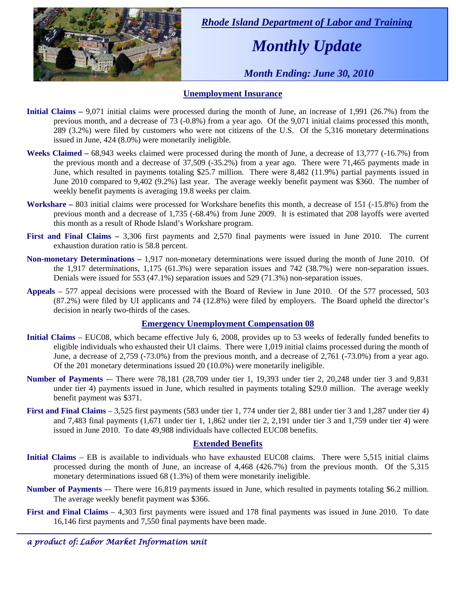

 *Rhode Island Department of Labor and Training* 

# *Monthly Update*

 *Month Ending: June 30, 2010* 

### **Unemployment Insurance**

- **Initial Claims** 9,071 initial claims were processed during the month of June, an increase of 1,991 (26.7%) from the previous month, and a decrease of 73 (-0.8%) from a year ago. Of the 9,071 initial claims processed this month, 289 (3.2%) were filed by customers who were not citizens of the U.S. Of the 5,316 monetary determinations issued in June, 424 (8.0%) were monetarily ineligible.
- **Weeks Claimed** 68,943 weeks claimed were processed during the month of June, a decrease of 13,777 (-16.7%) from the previous month and a decrease of 37,509 (-35.2%) from a year ago. There were 71,465 payments made in June, which resulted in payments totaling \$25.7 million. There were 8,482 (11.9%) partial payments issued in June 2010 compared to 9,402 (9.2%) last year. The average weekly benefit payment was \$360. The number of weekly benefit payments is averaging 19.8 weeks per claim.
- **Workshare –** 803 initial claims were processed for Workshare benefits this month, a decrease of 151 (-15.8%) from the previous month and a decrease of 1,735 (-68.4%) from June 2009. It is estimated that 208 layoffs were averted this month as a result of Rhode Island's Workshare program.
- **First and Final Claims –** 3,306 first payments and 2,570 final payments were issued in June 2010. The current exhaustion duration ratio is 58.8 percent.
- **Non-monetary Determinations –** 1,917 non-monetary determinations were issued during the month of June 2010. Of the 1,917 determinations, 1,175 (61.3%) were separation issues and 742 (38.7%) were non-separation issues. Denials were issued for 553 (47.1%) separation issues and 529 (71.3%) non-separation issues.
- **Appeals** 577 appeal decisions were processed with the Board of Review in June 2010. Of the 577 processed, 503 (87.2%) were filed by UI applicants and 74 (12.8%) were filed by employers. The Board upheld the director's decision in nearly two-thirds of the cases.

### **Emergency Unemployment Compensation 08**

- **Initial Claims**  EUC08, which became effective July 6, 2008, provides up to 53 weeks of federally funded benefits to eligible individuals who exhausted their UI claims. There were 1,019 initial claims processed during the month of June, a decrease of 2,759 (-73.0%) from the previous month, and a decrease of 2,761 (-73.0%) from a year ago. Of the 201 monetary determinations issued 20 (10.0%) were monetarily ineligible.
- **Number of Payments** -– There were 78,181 (28,709 under tier 1, 19,393 under tier 2, 20,248 under tier 3 and 9,831 under tier 4) payments issued in June, which resulted in payments totaling \$29.0 million. The average weekly benefit payment was \$371.
- **First and Final Claims**  3,525 first payments (583 under tier 1, 774 under tier 2, 881 under tier 3 and 1,287 under tier 4) and 7,483 final payments (1,671 under tier 1, 1,862 under tier 2, 2,191 under tier 3 and 1,759 under tier 4) were issued in June 2010. To date 49,988 individuals have collected EUC08 benefits.

### **Extended Benefits**

- **Initial Claims**  EB is available to individuals who have exhausted EUC08 claims. There were 5,515 initial claims processed during the month of June, an increase of 4,468 (426.7%) from the previous month. Of the 5,315 monetary determinations issued 68 (1.3%) of them were monetarily ineligible.
- **Number of Payments** There were 16,819 payments issued in June, which resulted in payments totaling \$6.2 million. The average weekly benefit payment was \$366.
- **First and Final Claims**  4,303 first payments were issued and 178 final payments was issued in June 2010. To date 16,146 first payments and 7,550 final payments have been made.